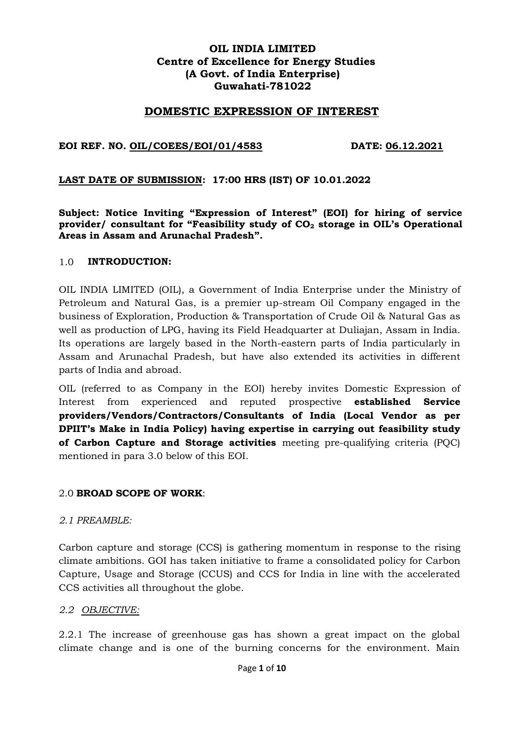## **OIL INDIA LIMITED Centre of Excellence for Energy Studies (A Govt. of India Enterprise) Guwahati-781022**

### **DOMESTIC EXPRESSION OF INTEREST**

#### **EOI REF. NO. OIL/COEES/EOI/01/4583 DATE: 06.12.2021**

#### **LAST DATE OF SUBMISSION: 17:00 HRS (IST) OF 10.01.2022**

**Subject: Notice Inviting "Expression of Interest" (EOI) for hiring of service provider/ consultant for "Feasibility study of CO<sup>2</sup> storage in OIL's Operational Areas in Assam and Arunachal Pradesh".**

#### 1.0 **INTRODUCTION:**

OIL INDIA LIMITED (OIL), a Government of India Enterprise under the Ministry of Petroleum and Natural Gas, is a premier up-stream Oil Company engaged in the business of Exploration, Production & Transportation of Crude Oil & Natural Gas as well as production of LPG, having its Field Headquarter at Duliajan, Assam in India. Its operations are largely based in the North-eastern parts of India particularly in Assam and Arunachal Pradesh, but have also extended its activities in different parts of India and abroad.

OIL (referred to as Company in the EOI) hereby invites Domestic Expression of Interest from experienced and reputed prospective **established Service providers/Vendors/Contractors/Consultants of India (Local Vendor as per DPIIT's Make in India Policy) having expertise in carrying out feasibility study of Carbon Capture and Storage activities** meeting pre-qualifying criteria (PQC) mentioned in para 3.0 below of this EOI.

#### 2.0 **BROAD SCOPE OF WORK**:

#### *2.1 PREAMBLE:*

Carbon capture and storage (CCS) is gathering momentum in response to the rising climate ambitions. GOI has taken initiative to frame a consolidated policy for Carbon Capture, Usage and Storage (CCUS) and CCS for India in line with the accelerated CCS activities all throughout the globe.

#### *2.2 OBJECTIVE:*

2.2.1 The increase of greenhouse gas has shown a great impact on the global climate change and is one of the burning concerns for the environment. Main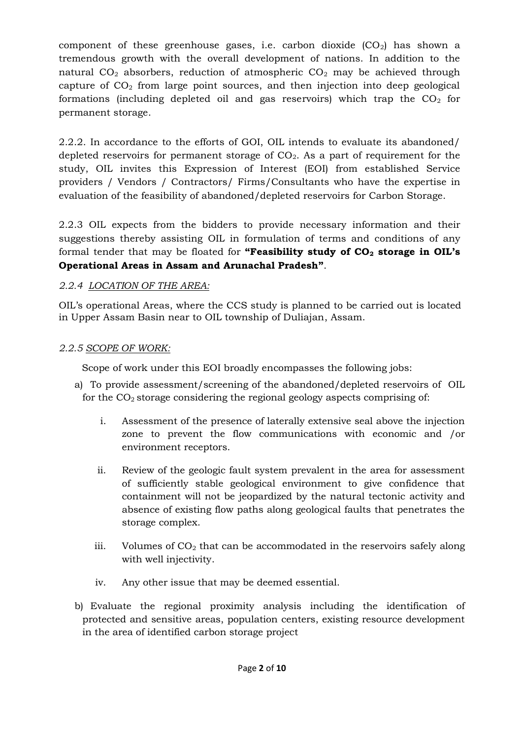component of these greenhouse gases, i.e. carbon dioxide  $(CO_2)$  has shown a tremendous growth with the overall development of nations. In addition to the natural  $CO<sub>2</sub>$  absorbers, reduction of atmospheric  $CO<sub>2</sub>$  may be achieved through capture of  $CO<sub>2</sub>$  from large point sources, and then injection into deep geological formations (including depleted oil and gas reservoirs) which trap the  $CO<sub>2</sub>$  for permanent storage.

2.2.2. In accordance to the efforts of GOI, OIL intends to evaluate its abandoned/ depleted reservoirs for permanent storage of  $CO<sub>2</sub>$ . As a part of requirement for the study, OIL invites this Expression of Interest (EOI) from established Service providers / Vendors / Contractors/ Firms/Consultants who have the expertise in evaluation of the feasibility of abandoned/depleted reservoirs for Carbon Storage.

2.2.3 OIL expects from the bidders to provide necessary information and their suggestions thereby assisting OIL in formulation of terms and conditions of any formal tender that may be floated for **"Feasibility study of CO<sup>2</sup> storage in OIL's Operational Areas in Assam and Arunachal Pradesh"**.

# *2.2.4 LOCATION OF THE AREA:*

OIL's operational Areas, where the CCS study is planned to be carried out is located in Upper Assam Basin near to OIL township of Duliajan, Assam.

# *2.2.5 SCOPE OF WORK:*

Scope of work under this EOI broadly encompasses the following jobs:

- a) To provide assessment/screening of the abandoned/depleted reservoirs of OIL for the  $CO<sub>2</sub>$  storage considering the regional geology aspects comprising of:
	- i. Assessment of the presence of laterally extensive seal above the injection zone to prevent the flow communications with economic and /or environment receptors.
	- ii. Review of the geologic fault system prevalent in the area for assessment of sufficiently stable geological environment to give confidence that containment will not be jeopardized by the natural tectonic activity and absence of existing flow paths along geological faults that penetrates the storage complex.
	- iii. Volumes of  $CO<sub>2</sub>$  that can be accommodated in the reservoirs safely along with well injectivity.
	- iv. Any other issue that may be deemed essential.
- b) Evaluate the regional proximity analysis including the identification of protected and sensitive areas, population centers, existing resource development in the area of identified carbon storage project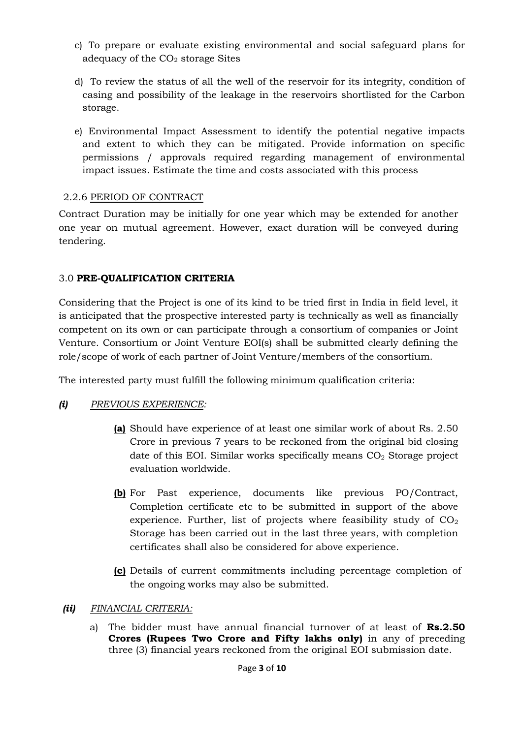- c) To prepare or evaluate existing environmental and social safeguard plans for adequacy of the  $CO<sub>2</sub>$  storage Sites
- d) To review the status of all the well of the reservoir for its integrity, condition of casing and possibility of the leakage in the reservoirs shortlisted for the Carbon storage.
- e) Environmental Impact Assessment to identify the potential negative impacts and extent to which they can be mitigated. Provide information on specific permissions / approvals required regarding management of environmental impact issues. Estimate the time and costs associated with this process

## 2.2.6 PERIOD OF CONTRACT

Contract Duration may be initially for one year which may be extended for another one year on mutual agreement. However, exact duration will be conveyed during tendering.

## 3.0 **PRE-QUALIFICATION CRITERIA**

Considering that the Project is one of its kind to be tried first in India in field level, it is anticipated that the prospective interested party is technically as well as financially competent on its own or can participate through a consortium of companies or Joint Venture. Consortium or Joint Venture EOI(s) shall be submitted clearly defining the role/scope of work of each partner of Joint Venture/members of the consortium.

The interested party must fulfill the following minimum qualification criteria:

# *(i) PREVIOUS EXPERIENCE:*

- **(a)** Should have experience of at least one similar work of about Rs. 2.50 Crore in previous 7 years to be reckoned from the original bid closing date of this EOI. Similar works specifically means  $CO<sub>2</sub>$  Storage project evaluation worldwide.
- **(b)** For Past experience, documents like previous PO/Contract, Completion certificate etc to be submitted in support of the above experience. Further, list of projects where feasibility study of  $CO<sub>2</sub>$ Storage has been carried out in the last three years, with completion certificates shall also be considered for above experience.
- **(c)** Details of current commitments including percentage completion of the ongoing works may also be submitted.

## *(ii) FINANCIAL CRITERIA:*

a) The bidder must have annual financial turnover of at least of **Rs.2.50 Crores (Rupees Two Crore and Fifty lakhs only)** in any of preceding three (3) financial years reckoned from the original EOI submission date.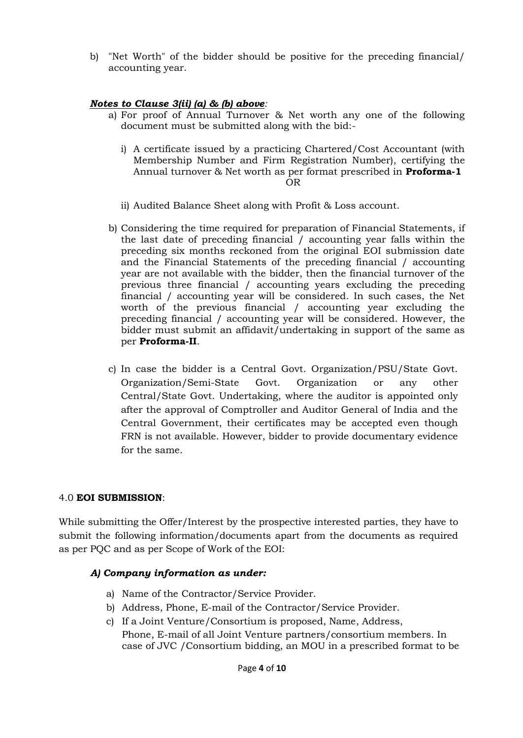b) "Net Worth" of the bidder should be positive for the preceding financial/ accounting year.

## *Notes to Clause 3(ii) (a) & (b) above:*

- a) For proof of Annual Turnover & Net worth any one of the following document must be submitted along with the bid:
	- i) A certificate issued by a practicing Chartered/Cost Accountant (with Membership Number and Firm Registration Number), certifying the Annual turnover & Net worth as per format prescribed in **Proforma-1** OR
	- ii) Audited Balance Sheet along with Profit & Loss account.
- b) Considering the time required for preparation of Financial Statements, if the last date of preceding financial / accounting year falls within the preceding six months reckoned from the original EOI submission date and the Financial Statements of the preceding financial / accounting year are not available with the bidder, then the financial turnover of the previous three financial / accounting years excluding the preceding financial / accounting year will be considered. In such cases, the Net worth of the previous financial / accounting year excluding the preceding financial / accounting year will be considered. However, the bidder must submit an affidavit/undertaking in support of the same as per **Proforma-II**.
- c) In case the bidder is a Central Govt. Organization/PSU/State Govt. Organization/Semi-State Govt. Organization or any other Central/State Govt. Undertaking, where the auditor is appointed only after the approval of Comptroller and Auditor General of India and the Central Government, their certificates may be accepted even though FRN is not available. However, bidder to provide documentary evidence for the same.

#### 4.0 **EOI SUBMISSION**:

While submitting the Offer/Interest by the prospective interested parties, they have to submit the following information/documents apart from the documents as required as per PQC and as per Scope of Work of the EOI:

## *A) Company information as under:*

- a) Name of the Contractor/Service Provider.
- b) Address, Phone, E-mail of the Contractor/Service Provider.
- c) If a Joint Venture/Consortium is proposed, Name, Address, Phone, E-mail of all Joint Venture partners/consortium members. In case of JVC /Consortium bidding, an MOU in a prescribed format to be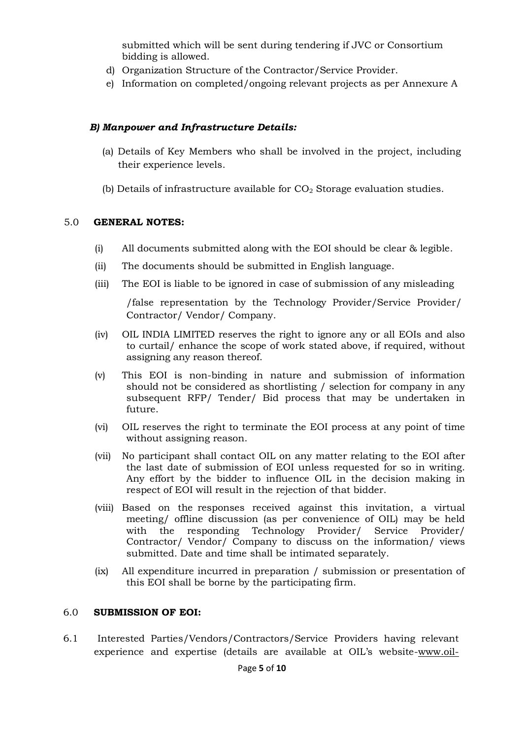submitted which will be sent during tendering if JVC or Consortium bidding is allowed.

- d) Organization Structure of the Contractor/Service Provider.
- e) Information on completed/ongoing relevant projects as per Annexure A

### *B) Manpower and Infrastructure Details:*

- (a) Details of Key Members who shall be involved in the project, including their experience levels.
- (b) Details of infrastructure available for  $CO<sub>2</sub>$  Storage evaluation studies.

### 5.0 **GENERAL NOTES:**

- (i) All documents submitted along with the EOI should be clear & legible.
- (ii) The documents should be submitted in English language.
- (iii) The EOI is liable to be ignored in case of submission of any misleading

/false representation by the Technology Provider/Service Provider/ Contractor/ Vendor/ Company.

- (iv) OIL INDIA LIMITED reserves the right to ignore any or all EOIs and also to curtail/ enhance the scope of work stated above, if required, without assigning any reason thereof.
- (v) This EOI is non-binding in nature and submission of information should not be considered as shortlisting / selection for company in any subsequent RFP/ Tender/ Bid process that may be undertaken in future.
- (vi) OIL reserves the right to terminate the EOI process at any point of time without assigning reason.
- (vii) No participant shall contact OIL on any matter relating to the EOI after the last date of submission of EOI unless requested for so in writing. Any effort by the bidder to influence OIL in the decision making in respect of EOI will result in the rejection of that bidder.
- (viii) Based on the responses received against this invitation, a virtual meeting/ offline discussion (as per convenience of OIL) may be held with the responding Technology Provider/ Service Provider/ Contractor/ Vendor/ Company to discuss on the information/ views submitted. Date and time shall be intimated separately.
- (ix) All expenditure incurred in preparation / submission or presentation of this EOI shall be borne by the participating firm.

#### 6.0 **SUBMISSION OF EOI:**

6.1 Interested Parties/Vendors/Contractors/Service Providers having relevant experience and expertise (details are available at OIL's websit[e-www.oil-](http://www.oil-/)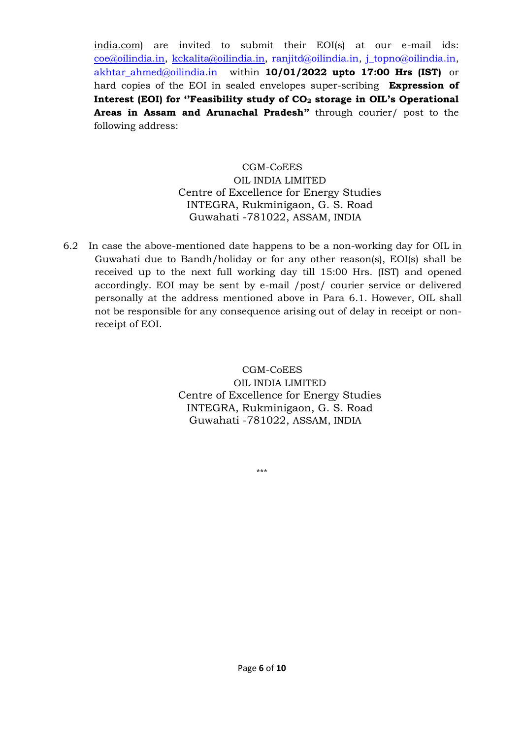india.com) are invited to submit their EOI(s) at our e-mail ids: [coe@oilindia.in,](mailto:coe@oilindia.in) [kckalita@oilindia.in,](mailto:kckalita@oilindia.in) [ranjitd@oilindia.in,](mailto:ranjitd@oilindia.in) [j\\_topno@oilindia.in,](mailto:j_topno@oilindia.in) [akhtar\\_ahmed@oilindia.in](mailto:akhtar_ahmed@oilindia.in) within **10/01/2022 upto 17:00 Hrs (IST)** or hard copies of the EOI in sealed envelopes super-scribing **Expression of Interest (EOI) for ''Feasibility study of CO<sup>2</sup> storage in OIL's Operational Areas in Assam and Arunachal Pradesh"** through courier/ post to the following address:

# CGM-CoEES

## OIL INDIA LIMITED Centre of Excellence for Energy Studies INTEGRA, Rukminigaon, G. S. Road Guwahati -781022, ASSAM, INDIA

6.2 In case the above-mentioned date happens to be a non-working day for OIL in Guwahati due to Bandh/holiday or for any other reason(s), EOI(s) shall be received up to the next full working day till 15:00 Hrs. (IST) and opened accordingly. EOI may be sent by e-mail /post/ courier service or delivered personally at the address mentioned above in Para 6.1. However, OIL shall not be responsible for any consequence arising out of delay in receipt or nonreceipt of EOI.

> CGM-CoEES OIL INDIA LIMITED Centre of Excellence for Energy Studies INTEGRA, Rukminigaon, G. S. Road Guwahati -781022, ASSAM, INDIA

> > \*\*\*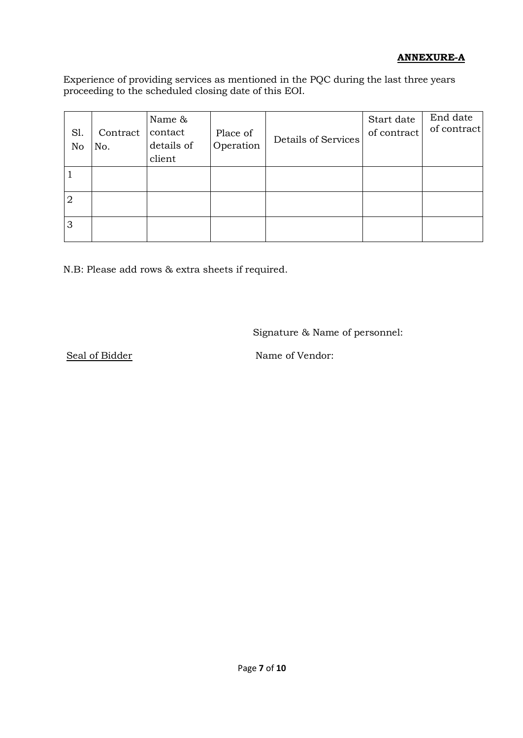# **ANNEXURE-A**

Experience of providing services as mentioned in the PQC during the last three years proceeding to the scheduled closing date of this EOI.

| S1.<br>No      | Contract<br>No. | Name &<br>contact<br>details of<br>client | Place of<br>Operation | Details of Services | Start date<br>of contract | End date<br>of contract |
|----------------|-----------------|-------------------------------------------|-----------------------|---------------------|---------------------------|-------------------------|
|                |                 |                                           |                       |                     |                           |                         |
| $\overline{2}$ |                 |                                           |                       |                     |                           |                         |
| 3              |                 |                                           |                       |                     |                           |                         |

N.B: Please add rows & extra sheets if required.

Signature & Name of personnel:

Seal of Bidder Name of Vendor: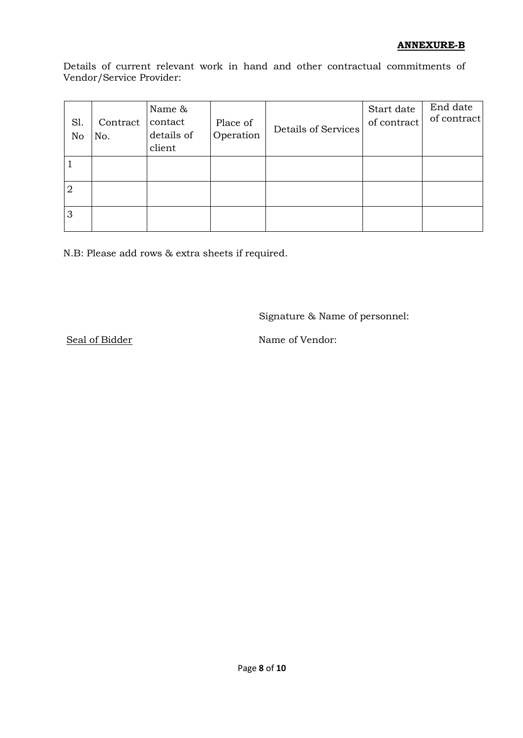## **ANNEXURE-B**

Details of current relevant work in hand and other contractual commitments of Vendor/Service Provider:

| S1.<br>No      | Contract<br>No. | Name &<br>contact<br>details of<br>client | Place of<br>Operation | <b>Details of Services</b> | Start date<br>of contract | End date<br>of contract |
|----------------|-----------------|-------------------------------------------|-----------------------|----------------------------|---------------------------|-------------------------|
|                |                 |                                           |                       |                            |                           |                         |
| $\overline{2}$ |                 |                                           |                       |                            |                           |                         |
| 3              |                 |                                           |                       |                            |                           |                         |

N.B: Please add rows & extra sheets if required.

Signature & Name of personnel:

Seal of Bidder Name of Vendor: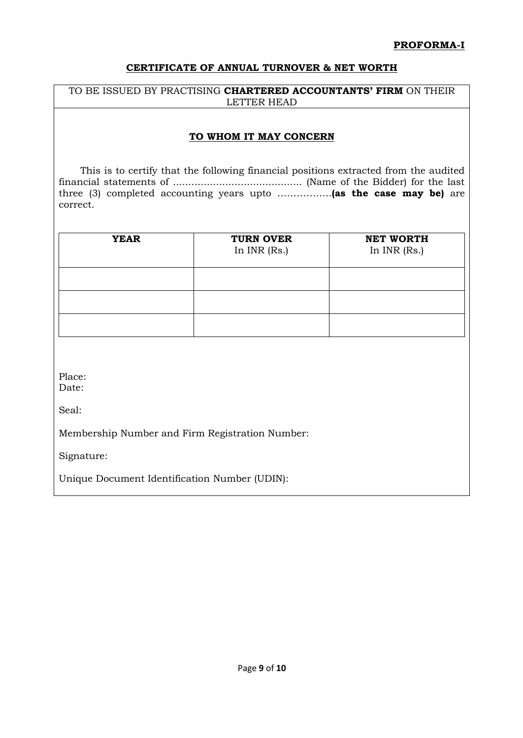### **CERTIFICATE OF ANNUAL TURNOVER & NET WORTH**

#### TO BE ISSUED BY PRACTISING **CHARTERED ACCOUNTANTS' FIRM** ON THEIR LETTER HEAD

### **TO WHOM IT MAY CONCERN**

 This is to certify that the following financial positions extracted from the audited financial statements of .......................................... (Name of the Bidder) for the last three (3) completed accounting years upto ……………..**(as the case may be)** are correct.

| <b>YEAR</b> | <b>TURN OVER</b><br>In $INR$ (Rs.) | <b>NET WORTH</b><br>In INR (Rs.) |
|-------------|------------------------------------|----------------------------------|
|             |                                    |                                  |
|             |                                    |                                  |
|             |                                    |                                  |

Place:

Date:

Seal:

Membership Number and Firm Registration Number:

Signature:

Unique Document Identification Number (UDIN):